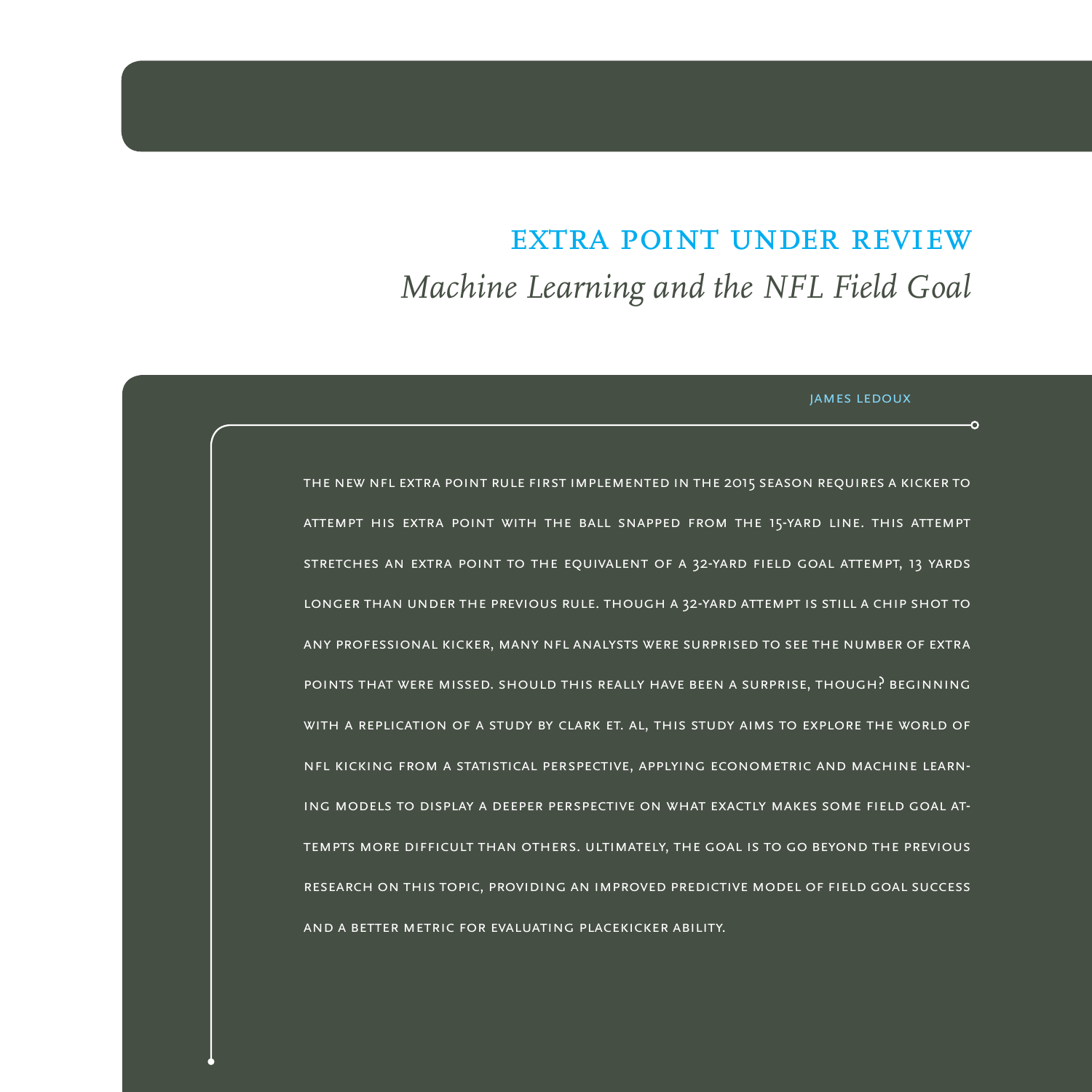# Extra point under review *Machine Learning and the NFL Field Goal*

# JAMES LEDOUX

∽

The new NFL extra point rule first implemented in the 2015 season requires a kicker to attempt his extra point with the ball snapped from the 15-yard line. This attempt stretches an extra point to the equivalent of a 32-yard field goal attempt, 13 yards longer than under the previous rule. Though a 32-yard attempt is still a chip shot to any professional kicker, many NFL analysts were surprised to see the number of extra points that were missed. Should this really have been a surprise, though? Beginning with a replication of a study by Clark et. al, this study aims to explore the world of NFL kicking from a statistical perspective, applying econometric and machine learning models to display a deeper perspective on what exactly makes some field goal attempts more difficult than others. Ultimately, the goal is to go beyond the previous research on this topic, providing an improved predictive model of field goal success and a better metric for evaluating placekicker ability.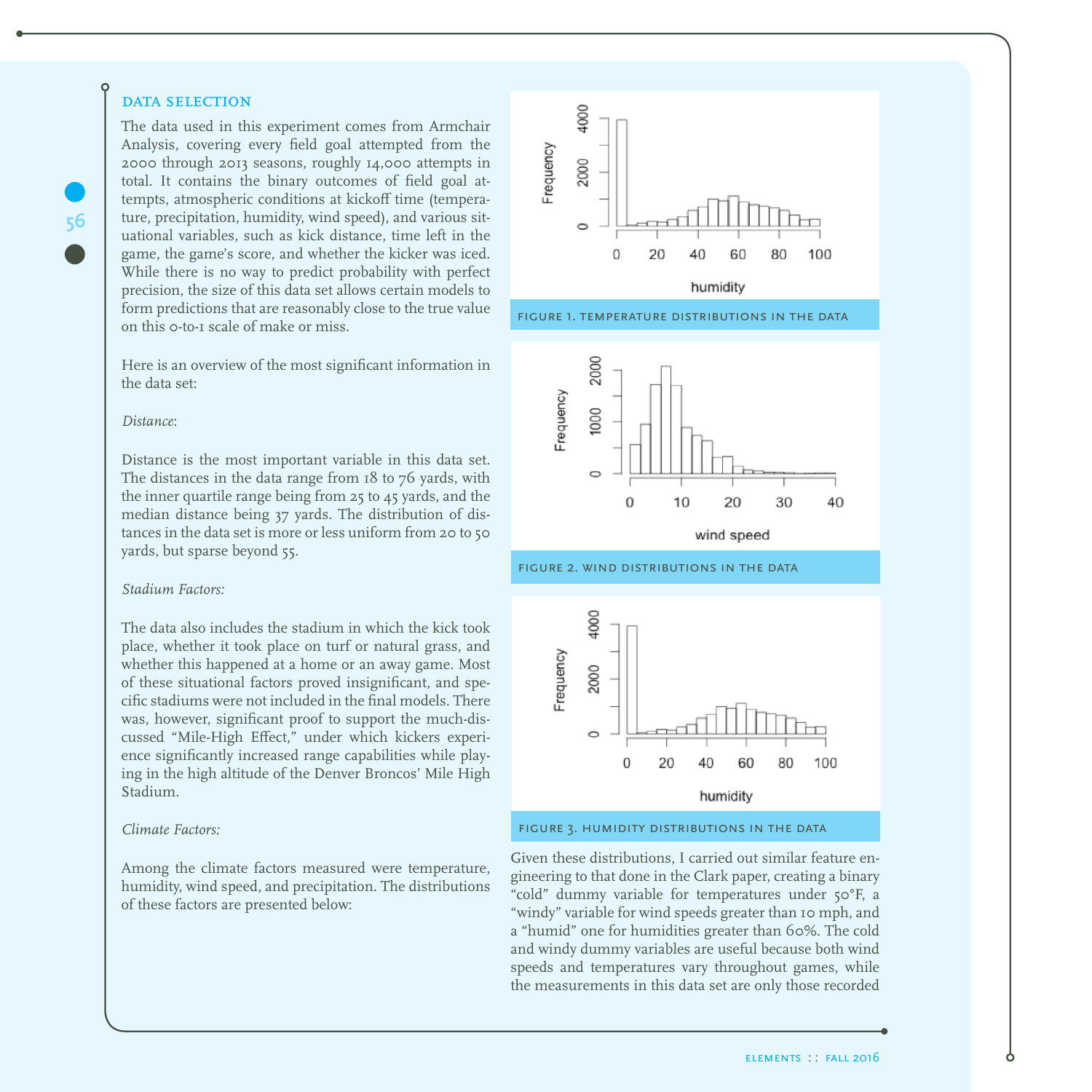# DATA SELECTION

The data used in this experiment comes from Armchair Analysis, covering every field goal attempted from the 2000 through 2013 seasons, roughly 14,000 attempts in total. It contains the binary outcomes of field goal attempts, atmospheric conditions at kickoff time (temperature, precipitation, humidity, wind speed), and various situational variables, such as kick distance, time left in the game, the game's score, and whether the kicker was iced. While there is no way to predict probability with perfect precision, the size of this data set allows certain models to form predictions that are reasonably close to the true value on this 0-to-1 scale of make or miss.

Here is an overview of the most significant information in the data set:

# *Distance*:

**56**

Distance is the most important variable in this data set. The distances in the data range from 18 to 76 yards, with the inner quartile range being from 25 to 45 yards, and the median distance being 37 yards. The distribution of distances in the data set is more or less uniform from 20 to 50 yards, but sparse beyond 55.

# *Stadium Factors:*

The data also includes the stadium in which the kick took place, whether it took place on turf or natural grass, and whether this happened at a home or an away game. Most of these situational factors proved insignificant, and specific stadiums were not included in the final models. There was, however, significant proof to support the much-discussed "Mile-High Effect," under which kickers experience significantly increased range capabilities while playing in the high altitude of the Denver Broncos' Mile High Stadium.

# *Climate Factors:*

Among the climate factors measured were temperature, humidity, wind speed, and precipitation. The distributions of these factors are presented below:







# Figure 2. WIND distributions in the data



Figure 3. HUMIDITY distributions in the data

Given these distributions, I carried out similar feature engineering to that done in the Clark paper, creating a binary "cold" dummy variable for temperatures under 50°F, a "windy" variable for wind speeds greater than 10 mph, and a "humid" one for humidities greater than 60%. The cold and windy dummy variables are useful because both wind speeds and temperatures vary throughout games, while the measurements in this data set are only those recorded

ELEMENTS :: FALL 2016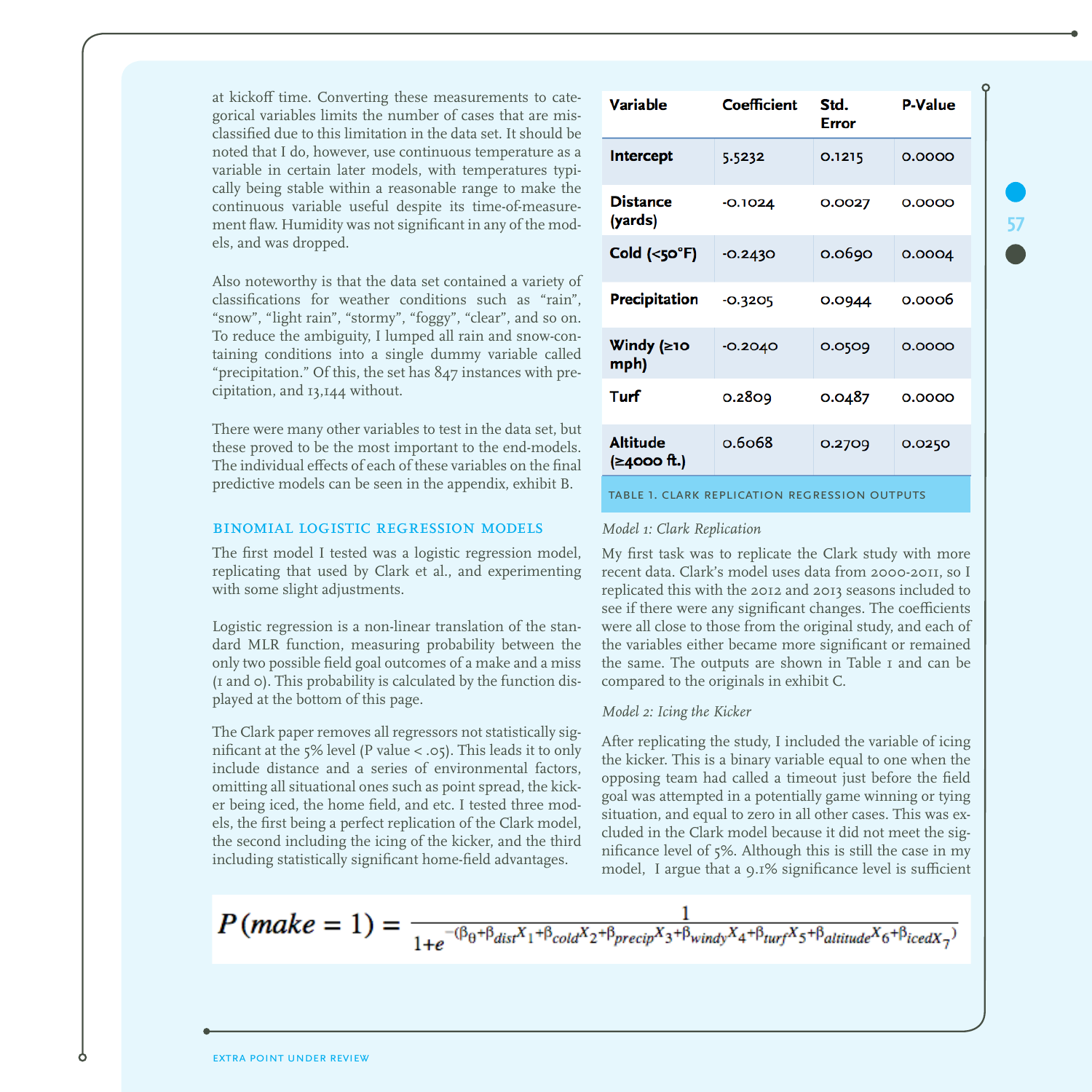at kickoff time. Converting these measurements to categorical variables limits the number of cases that are misclassified due to this limitation in the data set. It should be noted that I do, however, use continuous temperature as a variable in certain later models, with temperatures typically being stable within a reasonable range to make the continuous variable useful despite its time-of-measurement flaw. Humidity was not significant in any of the models, and was dropped.

Also noteworthy is that the data set contained a variety of classifications for weather conditions such as "rain", "snow", "light rain", "stormy", "foggy", "clear", and so on. To reduce the ambiguity, I lumped all rain and snow-containing conditions into a single dummy variable called "precipitation." Of this, the set has 847 instances with precipitation, and 13,144 without.

There were many other variables to test in the data set, but these proved to be the most important to the end-models. The individual effects of each of these variables on the final predictive models can be seen in the appendix, exhibit B.

# BINOMIAL LOGISTIC REGRESSION MODELS

The first model I tested was a logistic regression model, replicating that used by Clark et al., and experimenting with some slight adjustments.

Logistic regression is a non-linear translation of the standard MLR function, measuring probability between the only two possible field goal outcomes of a make and a miss (1 and 0). This probability is calculated by the function displayed at the bottom of this page.

The Clark paper removes all regressors not statistically significant at the 5% level (P value < .05). This leads it to only include distance and a series of environmental factors, omitting all situational ones such as point spread, the kicker being iced, the home field, and etc. I tested three models, the first being a perfect replication of the Clark model, the second including the icing of the kicker, and the third including statistically significant home-field advantages.

| Variable                       | Coefficient | Std.<br><b>Error</b> | <b>P-Value</b> |
|--------------------------------|-------------|----------------------|----------------|
| Intercept                      | 5.5232      | 0.1215               | 0.0000         |
| <b>Distance</b><br>(yards)     | $-0.1024$   | 0.0027               | 0.0000         |
| Cold $(50°F)$                  | $-0.2430$   | 0.0690               | 0.0004         |
| <b>Precipitation</b>           | $-0.3205$   | 0.0944               | 0.0006         |
| Windy (≥10<br>mph)             | $-0.2040$   | 0.0509               | 0.0000         |
| Turf                           | 0.2809      | 0.0487               | 0.0000         |
| <b>Altitude</b><br>(≥4000 ft.) | 0.6068      | 0.2709               | 0.0250         |

**57**

# Table 1. Clark Replication Regression Outputs

### *Model 1: Clark Replication*

My first task was to replicate the Clark study with more recent data. Clark's model uses data from 2000-2011, so I replicated this with the 2012 and 2013 seasons included to see if there were any significant changes. The coefficients were all close to those from the original study, and each of the variables either became more significant or remained the same. The outputs are shown in Table I and can be compared to the originals in exhibit C.

# *Model 2: Icing the Kicker*

After replicating the study, I included the variable of icing the kicker. This is a binary variable equal to one when the opposing team had called a timeout just before the field goal was attempted in a potentially game winning or tying situation, and equal to zero in all other cases. This was excluded in the Clark model because it did not meet the significance level of 5%. Although this is still the case in my model, I argue that a 9.1% significance level is sufficient

$$
P(make = 1) = \frac{1}{1 + e^{-(\beta_{\theta} + \beta_{dist}X_1 + \beta_{cold}X_2 + \beta_{precip}X_3 + \beta_{windy}X_4 + \beta_{turf}X_5 + \beta_{altitude}X_6 + \beta_{icedX_7})}}
$$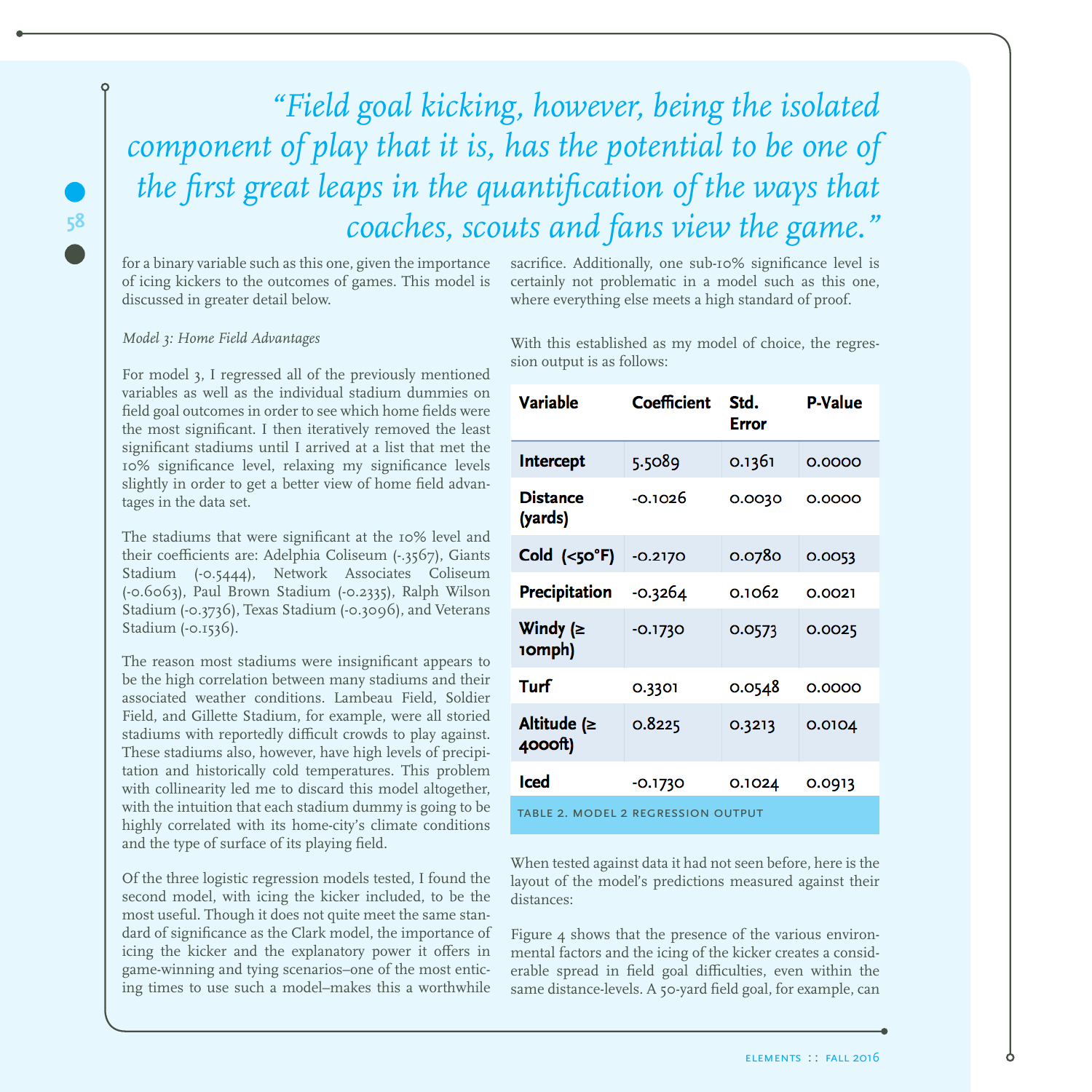# *"Field goal kicking, however, being the isolated component of play that it is, has the potential to be one of the first great leaps in the quantification of the ways that coaches, scouts and fans view the game."*

for a binary variable such as this one, given the importance of icing kickers to the outcomes of games. This model is discussed in greater detail below.

sacrifice. Additionally, one sub-10% significance level is certainly not problematic in a model such as this one, where everything else meets a high standard of proof.

# *Model 3: Home Field Advantages*

**58**

For model 3, I regressed all of the previously mentioned variables as well as the individual stadium dummies on field goal outcomes in order to see which home fields were the most significant. I then iteratively removed the least significant stadiums until I arrived at a list that met the 10% significance level, relaxing my significance levels slightly in order to get a better view of home field advantages in the data set.

The stadiums that were significant at the 10% level and their coefficients are: Adelphia Coliseum (-.3567), Giants Stadium (-0.5444), Network Associates Coliseum (-0.6063), Paul Brown Stadium (-0.2335), Ralph Wilson Stadium (-0.3736), Texas Stadium (-0.3096), and Veterans Stadium (-0.1536).

The reason most stadiums were insignificant appears to be the high correlation between many stadiums and their associated weather conditions. Lambeau Field, Soldier Field, and Gillette Stadium, for example, were all storied stadiums with reportedly difficult crowds to play against. These stadiums also, however, have high levels of precipitation and historically cold temperatures. This problem with collinearity led me to discard this model altogether, with the intuition that each stadium dummy is going to be highly correlated with its home-city's climate conditions and the type of surface of its playing field.

Of the three logistic regression models tested, I found the second model, with icing the kicker included, to be the most useful. Though it does not quite meet the same standard of significance as the Clark model, the importance of icing the kicker and the explanatory power it offers in game-winning and tying scenarios–one of the most enticing times to use such a model–makes this a worthwhile

With this established as my model of choice, the regression output is as follows:

| <b>Variable</b>                           | Coefficient | Std.<br>Error | <b>P-Value</b> |  |
|-------------------------------------------|-------------|---------------|----------------|--|
| Intercept                                 | 5.5089      | 0.1361        | 0.0000         |  |
| <b>Distance</b><br>(yards)                | $-0.1026$   | 0.0030        | 0.0000         |  |
| Cold $(50°F)$                             | $-0.2170$   | 0.0780        | 0.0053         |  |
| <b>Precipitation</b>                      | -0.3264     | 0.1062        | 0.0021         |  |
| Windy $\ge$<br>10mph)                     | $-0.1730$   | 0.0573        | 0.0025         |  |
| Turf                                      | 0.3301      | 0.0548        | 0.0000         |  |
| Altitude (≥<br>4000ft)                    | 0.8225      | 0.3213        | 0.0104         |  |
| Iced                                      | $-0.1730$   | 0.1024        | 0.0913         |  |
| <b>TABLE 2. MODEL 2 REGRESSION OUTPUT</b> |             |               |                |  |

When tested against data it had not seen before, here is the layout of the model's predictions measured against their distances:

Figure 4 shows that the presence of the various environmental factors and the icing of the kicker creates a considerable spread in field goal difficulties, even within the same distance-levels. A 50-yard field goal, for example, can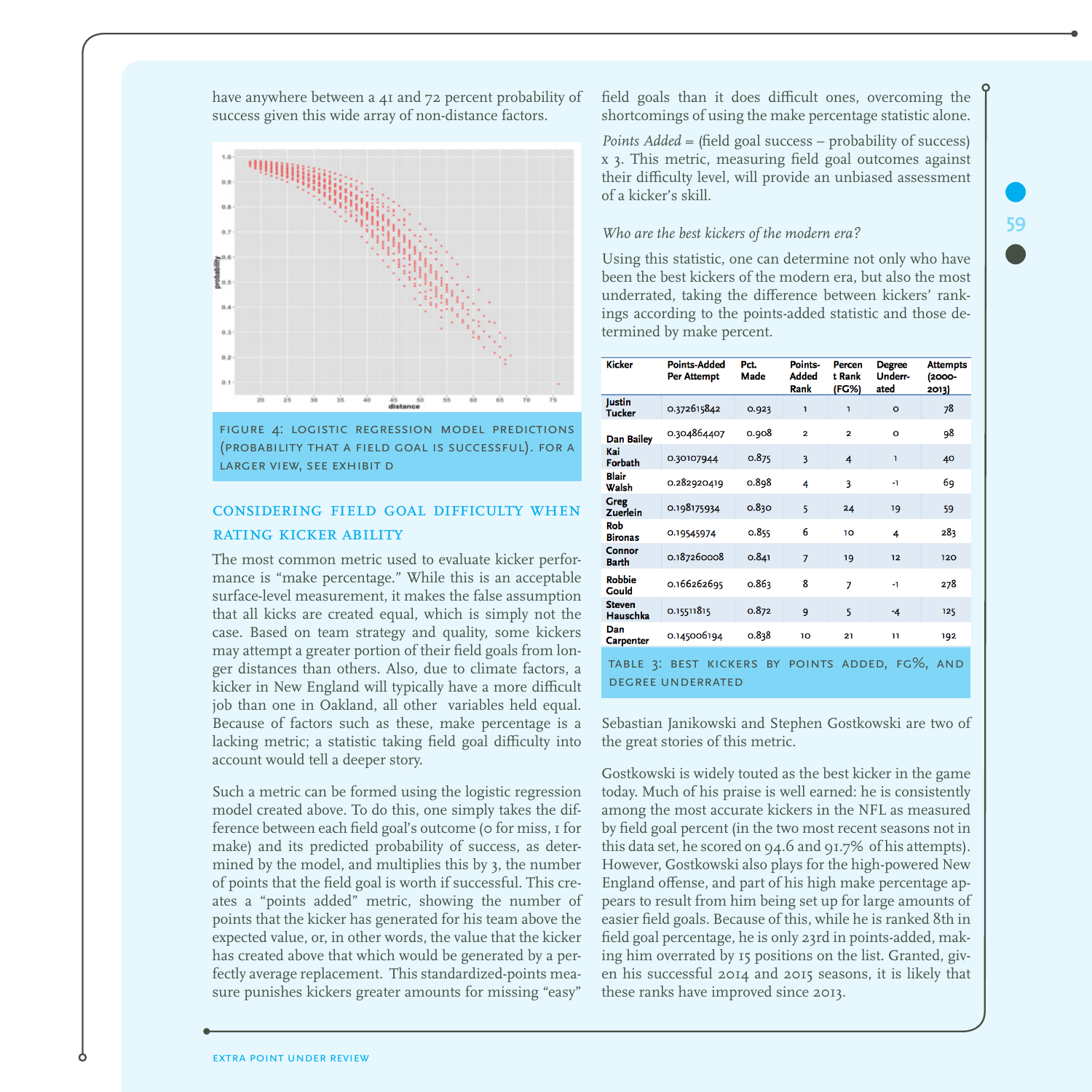have anywhere between a 41 and 72 percent probability of success given this wide array of non-distance factors.



Figure 4: Logistic Regression Model predictions (probability that a field goal is successful). For a larger view, see Exhibit D

# CONSIDERING FIELD GOAL DIFFICULTY WHEN RATING KICKER ABILITY

The most common metric used to evaluate kicker performance is "make percentage." While this is an acceptable surface-level measurement, it makes the false assumption that all kicks are created equal, which is simply not the case. Based on team strategy and quality, some kickers may attempt a greater portion of their field goals from longer distances than others. Also, due to climate factors, a kicker in New England will typically have a more difficult job than one in Oakland, all other variables held equal. Because of factors such as these, make percentage is a lacking metric; a statistic taking field goal difficulty into account would tell a deeper story.

Such a metric can be formed using the logistic regression model created above. To do this, one simply takes the difference between each field goal's outcome (o for miss, I for make) and its predicted probability of success, as determined by the model, and multiplies this by 3, the number of points that the field goal is worth if successful. This creates a "points added" metric, showing the number of points that the kicker has generated for his team above the expected value, or, in other words, the value that the kicker has created above that which would be generated by a perfectly average replacement. This standardized-points measure punishes kickers greater amounts for missing "easy"

field goals than it does difficult ones, overcoming the shortcomings of using the make percentage statistic alone.

*Points Added* = (field goal success – probability of success) x 3. This metric, measuring field goal outcomes against their difficulty level, will provide an unbiased assessment of a kicker's skill.

**59**

#### *Who are the best kickers of the modern era?*

Using this statistic, one can determine not only who have been the best kickers of the modern era, but also the most underrated, taking the difference between kickers' rankings according to the points-added statistic and those determined by make percent.

| <b>Kicker</b>                                                               | <b>Points-Added</b><br><b>Per Attempt</b> | Pct.<br>Made | Points-<br>Added<br>Rank | Percen<br>t Rank<br>(FG%) | <b>Degree</b><br>Underr-<br>ated | <b>Attempts</b><br>(2000-<br>2013) |
|-----------------------------------------------------------------------------|-------------------------------------------|--------------|--------------------------|---------------------------|----------------------------------|------------------------------------|
| Justin<br><b>Tucker</b>                                                     | 0.372615842                               | 0.923        | ı                        | ı                         | $\circ$                          | 78                                 |
| <b>Dan Bailey</b>                                                           | 0.304864407                               | 0.908        | $\overline{\mathbf{2}}$  | $\overline{a}$            | $\Omega$                         | 98                                 |
| Kai<br>Forbath                                                              | 0.30107944                                | 0.875        | 3                        | 4                         | ٦                                | 40                                 |
| <b>Blair</b><br>Walsh                                                       | 0.282920419                               | 0.898        | 4                        | 3                         | -1                               | 69                                 |
| <b>Greg</b><br><b>Zuerlein</b>                                              | 0.198175934                               | 0.830        | 5                        | 24                        | 19                               | 59                                 |
| Rob<br><b>Bironas</b>                                                       | 0.19545974                                | 0.855        | 6                        | 10                        | 4                                | 283                                |
| Connor<br><b>Barth</b>                                                      | 0.187260008                               | 0.841        | $\overline{7}$           | 19                        | 12                               | 120                                |
| <b>Robbie</b><br>Gould                                                      | 0.166262695                               | 0.863        | 8                        | $\overline{7}$            | -1                               | 278                                |
| <b>Steven</b><br>Hauschka                                                   | 0.15511815                                | 0.872        | 9                        | 5                         | $-4$                             | 125                                |
| Dan<br><b>Carpenter</b>                                                     | 0.145006194                               | 0.838        | 10                       | 21                        | 11                               | 192                                |
| TABLE 3: BEST KICKERS BY POINTS ADDED, FG%, AND<br><b>DEGREE UNDERRATED</b> |                                           |              |                          |                           |                                  |                                    |

Sebastian Janikowski and Stephen Gostkowski are two of the great stories of this metric.

Gostkowski is widely touted as the best kicker in the game today. Much of his praise is well earned: he is consistently among the most accurate kickers in the NFL as measured by field goal percent (in the two most recent seasons not in this data set, he scored on 94.6 and 91.7% of his attempts). However, Gostkowski also plays for the high-powered New England offense, and part of his high make percentage appears to result from him being set up for large amounts of easier field goals. Because of this, while he is ranked 8th in field goal percentage, he is only 23rd in points-added, making him overrated by 15 positions on the list. Granted, given his successful 2014 and 2015 seasons, it is likely that these ranks have improved since 2013.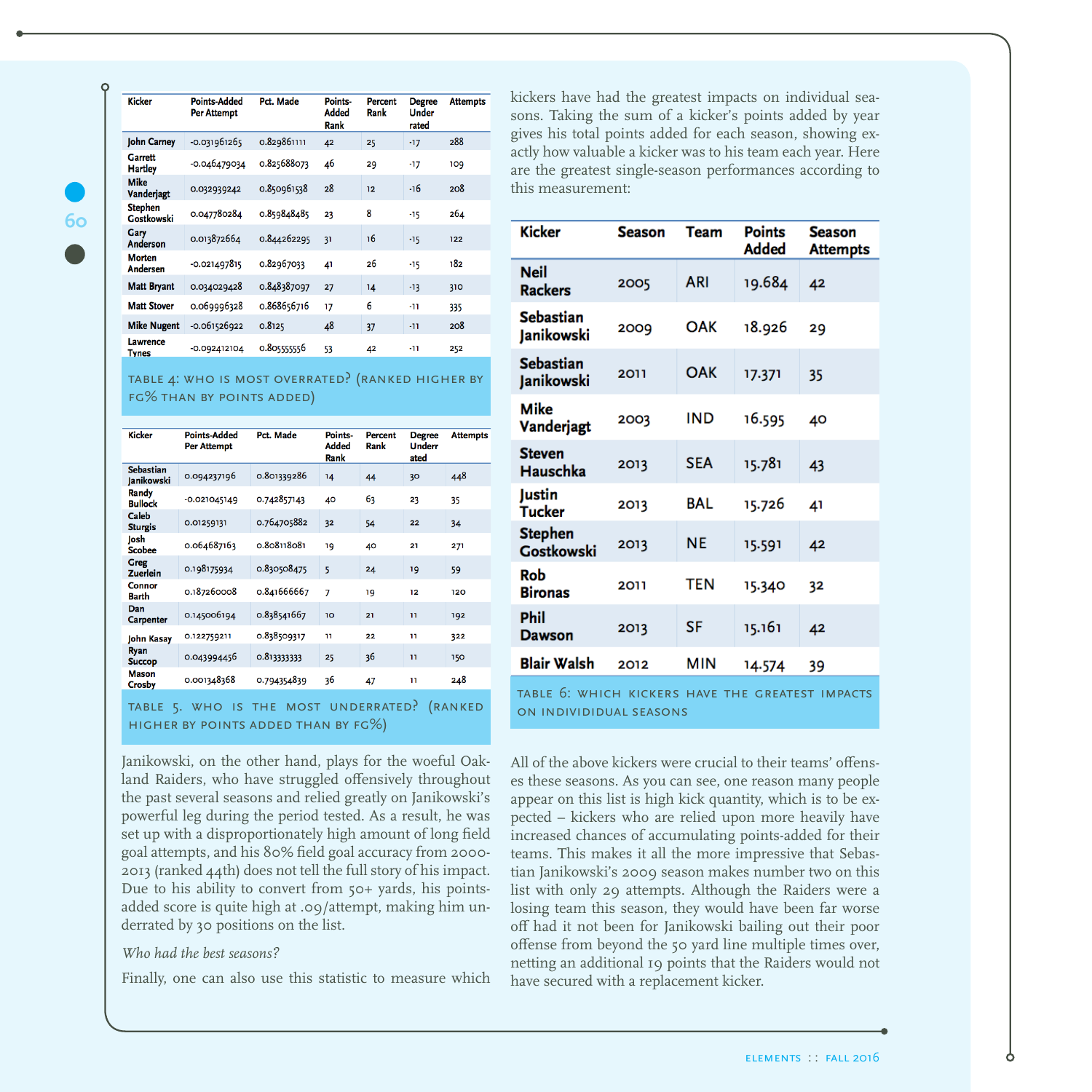| <b>Kicker</b>                       | Points-Added<br><b>Per Attempt</b> | Pct. Made   | Points-<br><b>Added</b><br>Rank | <b>Percent</b><br>Rank | <b>Degree</b><br>Under<br>rated | <b>Attempts</b> |
|-------------------------------------|------------------------------------|-------------|---------------------------------|------------------------|---------------------------------|-----------------|
| John Carney                         | $-0.031961265$                     | 0.829861111 | 42                              | 25                     | $-17$                           | 288             |
| Garrett<br><b>Hartley</b>           | $-0.046479034$                     | 0.825688073 | 46                              | 29                     | $-17$                           | 109             |
| <b>Mike</b><br>Vanderjagt           | 0.032939242                        | 0.850961538 | 28                              | 12                     | $-16$                           | 208             |
| <b>Stephen</b><br><b>Gostkowski</b> | 0.047780284                        | 0.859848485 | 23                              | 8                      | $-15$                           | 264             |
| Gary<br>Anderson                    | 0.013872664                        | 0.844262295 | 31                              | 16                     | $-15$                           | 122             |
| <b>Morten</b><br>Andersen           | $-0.021497815$                     | 0.82967033  | 41                              | 26                     | -15                             | 182             |
| <b>Matt Bryant</b>                  | 0.034029428                        | 0.848387097 | 27                              | 14                     | $-13$                           | 310             |
| <b>Matt Stover</b>                  | 0.069996328                        | 0.868656716 | 17                              | 6                      | -11                             | 335             |
| <b>Mike Nugent</b>                  | $-0.061526922$                     | 0.8125      | 48                              | 37                     | -11                             | 208             |
| Lawrence<br><b>Tynes</b>            | $-0.092412104$                     | 0.805555556 | 53                              | 42                     | -11                             | 252             |
|                                     |                                    |             |                                 |                        |                                 |                 |

TABLE 4: who is most overrated? (ranked higher by FG% than by points added)

| <b>Kicker</b>                  | <b>Points-Added</b><br><b>Per Attempt</b> | Pct. Made   | Points-<br>Added<br>Rank | <b>Percent</b><br>Rank | <b>Degree</b><br><b>Underr</b><br>ated | <b>Attempts</b> |
|--------------------------------|-------------------------------------------|-------------|--------------------------|------------------------|----------------------------------------|-----------------|
| <b>Sebastian</b><br>Janikowski | 0.094237196                               | 0.801339286 | 14                       | 44                     | 30                                     | 448             |
| Randy<br><b>Bullock</b>        | $-0.021045149$                            | 0.742857143 | 40                       | 63                     | 23                                     | 35              |
| Caleb<br><b>Sturgis</b>        | 0.01259131                                | 0.764705882 | 32                       | 54                     | 22                                     | 34              |
| Josh<br><b>Scobee</b>          | 0.064687163                               | 0.808118081 | 19                       | 40                     | 21                                     | 271             |
| <b>Greg</b><br><b>Zuerlein</b> | 0.198175934                               | 0.830508475 | 5                        | 24                     | 19                                     | 59              |
| Connor<br><b>Barth</b>         | 0.187260008                               | 0.841666667 | $\overline{7}$           | 19                     | 12                                     | 120             |
| Dan<br>Carpenter               | 0.145006194                               | 0.838541667 | 10                       | 21                     | 11                                     | 192             |
| John Kasay                     | 0.122759211                               | 0.838509317 | n                        | 22                     | 11                                     | 322             |
| Ryan<br><b>Succop</b>          | 0.043994456                               | 0.813333333 | 25                       | 36                     | 11                                     | 150             |
| <b>Mason</b><br>Crosby         | 0.001348368                               | 0.794354839 | 36                       | 47                     | 11                                     | 248             |
|                                | TABLE 5. WHO IS THE MOST UNDERRATED?      |             |                          |                        |                                        | <b>RANKED</b>   |

higher by points added than by FG%)

Janikowski, on the other hand, plays for the woeful Oakland Raiders, who have struggled offensively throughout the past several seasons and relied greatly on Janikowski's powerful leg during the period tested. As a result, he was set up with a disproportionately high amount of long field goal attempts, and his 80% field goal accuracy from 2000- 2013 (ranked 44th) does not tell the full story of his impact. Due to his ability to convert from 50+ yards, his pointsadded score is quite high at .09/attempt, making him underrated by 30 positions on the list.

# *Who had the best seasons?*

Finally, one can also use this statistic to measure which

kickers have had the greatest impacts on individual seasons. Taking the sum of a kicker's points added by year gives his total points added for each season, showing exactly how valuable a kicker was to his team each year. Here are the greatest single-season performances according to this measurement:

|                                     |      | <b>Team</b> | <b>Points</b><br><b>Added</b> | <b>Season</b><br><b>Attempts</b> |
|-------------------------------------|------|-------------|-------------------------------|----------------------------------|
| <b>Neil</b><br><b>Rackers</b>       | 2005 | <b>ARI</b>  | 19.684                        | 42                               |
| <b>Sebastian</b><br>Janikowski      | 2009 | <b>OAK</b>  | 18.926                        | 29                               |
| <b>Sebastian</b><br>Janikowski      | 2011 | OAK         | 17.371                        | 35                               |
| Mike<br>Vanderjagt                  | 2003 | <b>IND</b>  | 16.595                        | 40                               |
| <b>Steven</b><br>Hauschka           | 2013 | <b>SEA</b>  | 15.781                        | 43                               |
| Justin<br><b>Tucker</b>             | 2013 | <b>BAL</b>  | 15.726                        | 41                               |
| <b>Stephen</b><br><b>Gostkowski</b> | 2013 | <b>NE</b>   | 15.591                        | 42                               |
| <b>Rob</b><br><b>Bironas</b>        | 2011 | <b>TEN</b>  | 15.340                        | 32                               |
| <b>Phil</b><br><b>Dawson</b>        | 2013 | SF          | 15.161                        | 42                               |
| <b>Blair Walsh</b>                  | 2012 | <b>MIN</b>  | 14.574                        | 39                               |

TABLE 6: WHICH KICKERS HAVE on individidual seasons

All of the above kickers were crucial to their teams' offenses these seasons. As you can see, one reason many people appear on this list is high kick quantity, which is to be expected – kickers who are relied upon more heavily have increased chances of accumulating points-added for their teams. This makes it all the more impressive that Sebastian Janikowski's 2009 season makes number two on this list with only 29 attempts. Although the Raiders were a losing team this season, they would have been far worse off had it not been for Janikowski bailing out their poor offense from beyond the 50 yard line multiple times over, netting an additional 19 points that the Raiders would not have secured with a replacement kicker.

ELEMENTS :: FALL 2016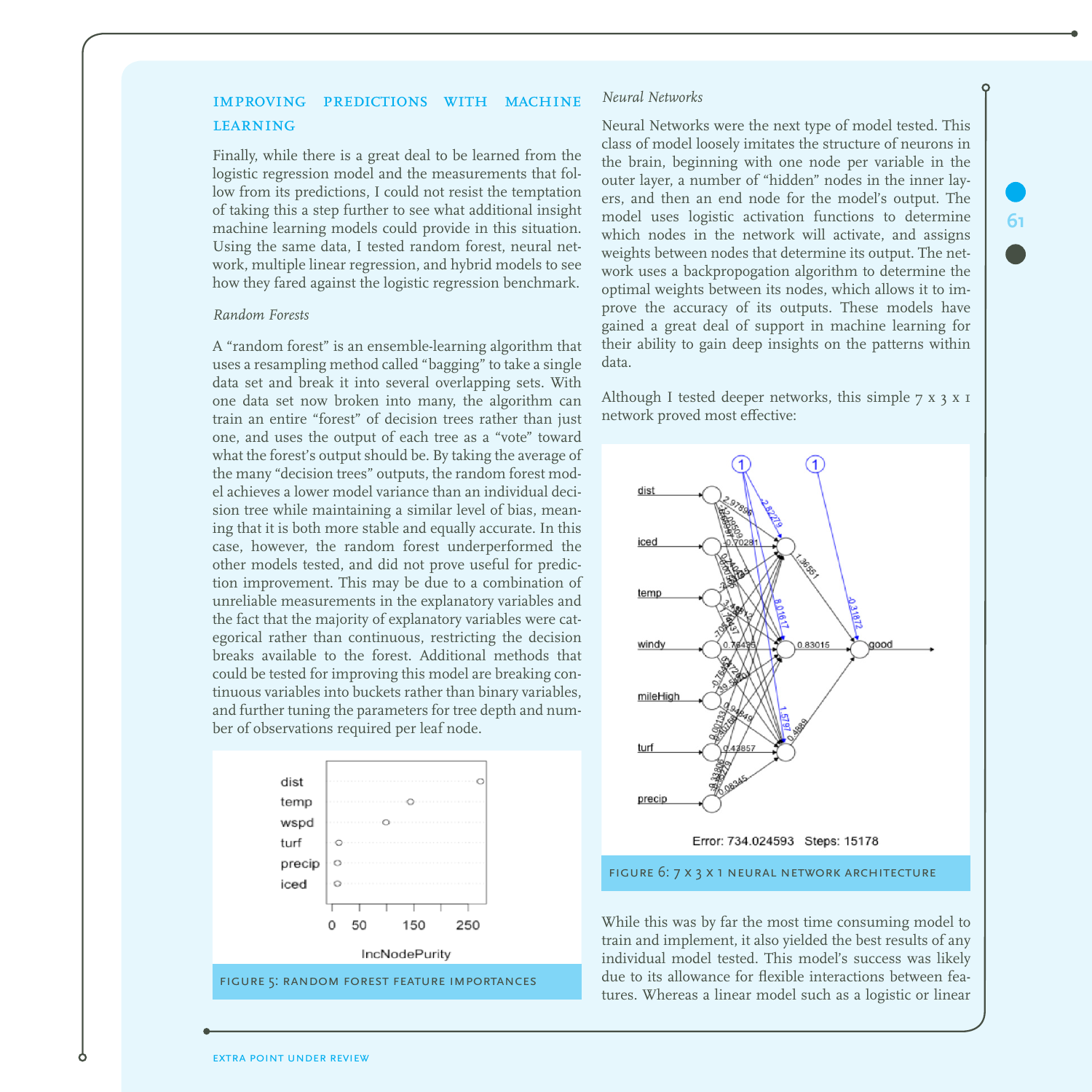# **61**

# IMPROVING PREDICTIONS WITH MACHINE LEARNING

Finally, while there is a great deal to be learned from the logistic regression model and the measurements that follow from its predictions, I could not resist the temptation of taking this a step further to see what additional insight machine learning models could provide in this situation. Using the same data, I tested random forest, neural network, multiple linear regression, and hybrid models to see how they fared against the logistic regression benchmark.

### *Random Forests*

A "random forest" is an ensemble-learning algorithm that uses a resampling method called "bagging" to take a single data set and break it into several overlapping sets. With one data set now broken into many, the algorithm can train an entire "forest" of decision trees rather than just one, and uses the output of each tree as a "vote" toward what the forest's output should be. By taking the average of the many "decision trees" outputs, the random forest model achieves a lower model variance than an individual decision tree while maintaining a similar level of bias, meaning that it is both more stable and equally accurate. In this case, however, the random forest underperformed the other models tested, and did not prove useful for prediction improvement. This may be due to a combination of unreliable measurements in the explanatory variables and the fact that the majority of explanatory variables were categorical rather than continuous, restricting the decision breaks available to the forest. Additional methods that could be tested for improving this model are breaking continuous variables into buckets rather than binary variables, and further tuning the parameters for tree depth and number of observations required per leaf node.



# *Neural Networks*

Neural Networks were the next type of model tested. This class of model loosely imitates the structure of neurons in the brain, beginning with one node per variable in the outer layer, a number of "hidden" nodes in the inner layers, and then an end node for the model's output. The model uses logistic activation functions to determine which nodes in the network will activate, and assigns weights between nodes that determine its output. The network uses a backpropogation algorithm to determine the optimal weights between its nodes, which allows it to improve the accuracy of its outputs. These models have gained a great deal of support in machine learning for their ability to gain deep insights on the patterns within data.

Although I tested deeper networks, this simple  $7 \times 3 \times 1$ network proved most effective:





While this was by far the most time consuming model to train and implement, it also yielded the best results of any individual model tested. This model's success was likely due to its allowance for flexible interactions between features. Whereas a linear model such as a logistic or linear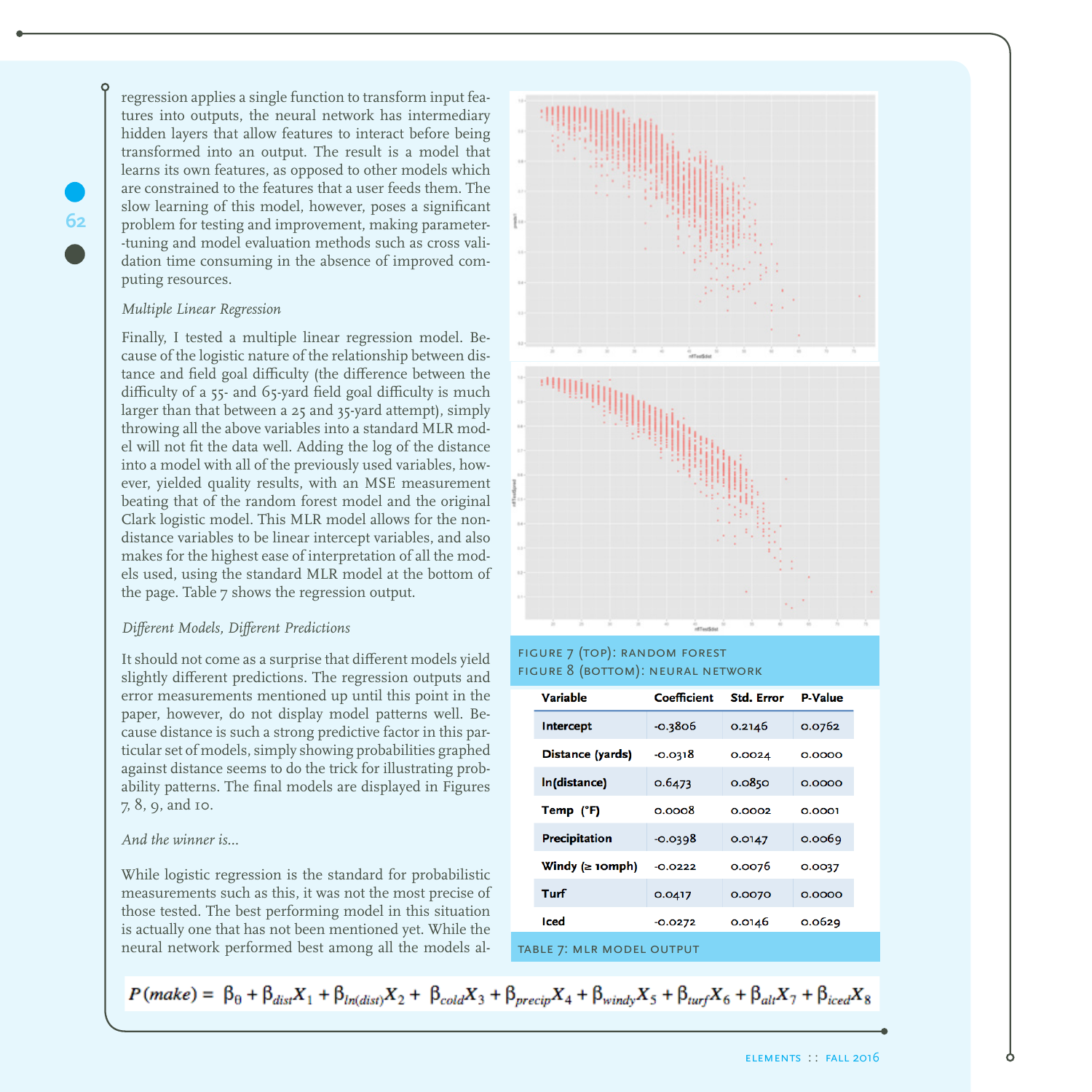regression applies a single function to transform input features into outputs, the neural network has intermediary hidden layers that allow features to interact before being transformed into an output. The result is a model that learns its own features, as opposed to other models which are constrained to the features that a user feeds them. The slow learning of this model, however, poses a significant problem for testing and improvement, making parameter- -tuning and model evaluation methods such as cross validation time consuming in the absence of improved computing resources.

## *Multiple Linear Regression*

Finally, I tested a multiple linear regression model. Because of the logistic nature of the relationship between distance and field goal difficulty (the difference between the difficulty of a 55- and 65-yard field goal difficulty is much larger than that between a 25 and 35-yard attempt), simply throwing all the above variables into a standard MLR model will not fit the data well. Adding the log of the distance into a model with all of the previously used variables, however, yielded quality results, with an MSE measurement beating that of the random forest model and the original Clark logistic model. This MLR model allows for the nondistance variables to be linear intercept variables, and also makes for the highest ease of interpretation of all the models used, using the standard MLR model at the bottom of the page. Table 7 shows the regression output.

# *Different Models, Different Predictions*

It should not come as a surprise that different models yield slightly different predictions. The regression outputs and error measurements mentioned up until this point in the paper, however, do not display model patterns well. Because distance is such a strong predictive factor in this particular set of models, simply showing probabilities graphed against distance seems to do the trick for illustrating probability patterns. The final models are displayed in Figures 7, 8, 9, and 10.

# *And the winner is...*

While logistic regression is the standard for probabilistic measurements such as this, it was not the most precise of those tested. The best performing model in this situation is actually one that has not been mentioned yet. While the neural network performed best among all the models al-



# FIGURE 7 (TOP): RANDOM FOREST Figure 8 (BOTTOM): Neural network

| <b>Variable</b>                                               | Coefficient | <b>Std. Error</b> | <b>P-Value</b> |
|---------------------------------------------------------------|-------------|-------------------|----------------|
| Intercept                                                     | $-0.3806$   | 0.2146            | 0.0762         |
| Distance (yards)                                              | -0.0318     | 0.0024            | 0.0000         |
| In(distance)                                                  | 0.6473      | 0.0850            | 0.0000         |
| Temp (°F)                                                     | 0.0008      | 0.0002            | 0.0001         |
| Precipitation                                                 | $-0.0398$   | 0.0147            | 0.0069         |
| Windy $( \geq$ 10mph)                                         | $-0.0222$   | 0.0076            | 0.0037         |
| Turf                                                          | 0.0417      | 0.0070            | 0.0000         |
| Iced                                                          | $-0.0272$   | 0.0146            | 0.0629         |
| $\lambda$ bir 7' $\lambda$ ii b $\lambda$ io bio bir olitbilt |             |                   |                |

 $P(make) = \beta_{\theta} + \beta_{disi}X_1 + \beta_{ln(dist)}X_2 + \beta_{cold}X_3 + \beta_{precip}X_4 + \beta_{windy}X_5 + \beta_{turf}X_6 + \beta_{alt}X_7 + \beta_{iced}X_8$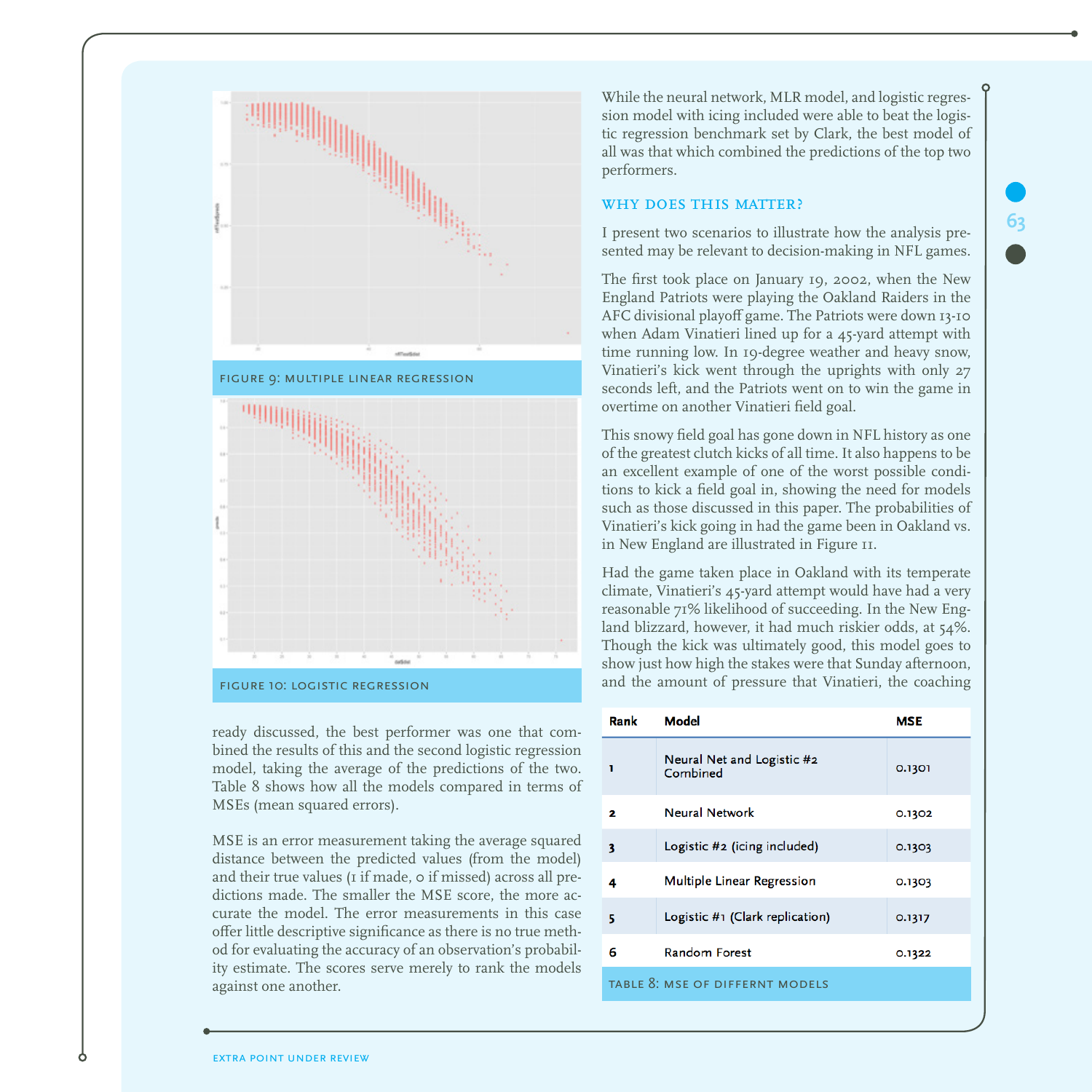

ready discussed, the best performer was one that combined the results of this and the second logistic regression model, taking the average of the predictions of the two. Table 8 shows how all the models compared in terms of MSEs (mean squared errors).

MSE is an error measurement taking the average squared distance between the predicted values (from the model) and their true values (1 if made, 0 if missed) across all predictions made. The smaller the MSE score, the more accurate the model. The error measurements in this case offer little descriptive significance as there is no true method for evaluating the accuracy of an observation's probability estimate. The scores serve merely to rank the models against one another.

While the neural network, MLR model, and logistic regression model with icing included were able to beat the logistic regression benchmark set by Clark, the best model of all was that which combined the predictions of the top two performers.

# WHY DOES THIS MATTER?

I present two scenarios to illustrate how the analysis presented may be relevant to decision-making in NFL games. **63**

The first took place on January 19, 2002, when the New England Patriots were playing the Oakland Raiders in the AFC divisional playoff game. The Patriots were down 13-10 when Adam Vinatieri lined up for a 45-yard attempt with time running low. In 19-degree weather and heavy snow, Vinatieri's kick went through the uprights with only 27 seconds left, and the Patriots went on to win the game in overtime on another Vinatieri field goal.

This snowy field goal has gone down in NFL history as one of the greatest clutch kicks of all time. It also happens to be an excellent example of one of the worst possible conditions to kick a field goal in, showing the need for models such as those discussed in this paper. The probabilities of Vinatieri's kick going in had the game been in Oakland vs. in New England are illustrated in Figure 11.

Had the game taken place in Oakland with its temperate climate, Vinatieri's 45-yard attempt would have had a very reasonable 71% likelihood of succeeding. In the New England blizzard, however, it had much riskier odds, at 54%. Though the kick was ultimately good, this model goes to show just how high the stakes were that Sunday afternoon, and the amount of pressure that Vinatieri, the coaching

| Rank | Model                                  | MSE    |
|------|----------------------------------------|--------|
| ٦    | Neural Net and Logistic #2<br>Combined | 0.1301 |
| 2    | Neural Network                         | 0.1302 |
| 3    | Logistic #2 (icing included)           | 0.1303 |
| 4    | Multiple Linear Regression             | 0.1303 |
| 5    | Logistic #1 (Clark replication)        | 0.1317 |
| 6    | <b>Random Forest</b>                   | 0.1322 |
|      | TABLE 8: MSE OF DIFFERNT MODELS        |        |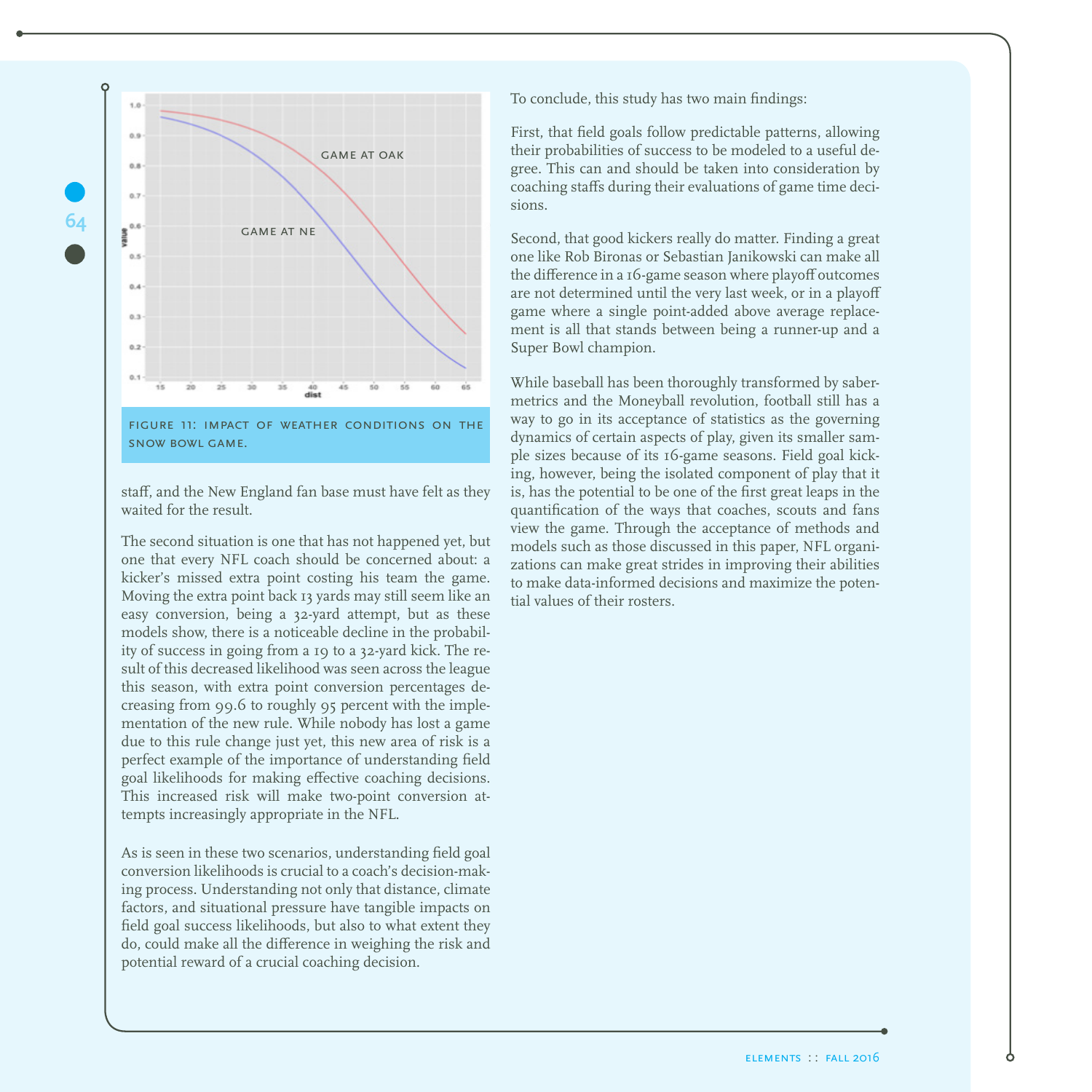

staff, and the New England fan base must have felt as they waited for the result.

The second situation is one that has not happened yet, but one that every NFL coach should be concerned about: a kicker's missed extra point costing his team the game. Moving the extra point back 13 yards may still seem like an easy conversion, being a 32-yard attempt, but as these models show, there is a noticeable decline in the probability of success in going from a 19 to a 32-yard kick. The result of this decreased likelihood was seen across the league this season, with extra point conversion percentages decreasing from 99.6 to roughly 95 percent with the implementation of the new rule. While nobody has lost a game due to this rule change just yet, this new area of risk is a perfect example of the importance of understanding field goal likelihoods for making effective coaching decisions. This increased risk will make two-point conversion attempts increasingly appropriate in the NFL.

As is seen in these two scenarios, understanding field goal conversion likelihoods is crucial to a coach's decision-making process. Understanding not only that distance, climate factors, and situational pressure have tangible impacts on field goal success likelihoods, but also to what extent they do, could make all the difference in weighing the risk and potential reward of a crucial coaching decision.

To conclude, this study has two main findings:

First, that field goals follow predictable patterns, allowing their probabilities of success to be modeled to a useful degree. This can and should be taken into consideration by coaching staffs during their evaluations of game time decisions.

Second, that good kickers really do matter. Finding a great one like Rob Bironas or Sebastian Janikowski can make all the difference in a 16-game season where playoff outcomes are not determined until the very last week, or in a playoff game where a single point-added above average replacement is all that stands between being a runner-up and a Super Bowl champion.

While baseball has been thoroughly transformed by sabermetrics and the Moneyball revolution, football still has a way to go in its acceptance of statistics as the governing dynamics of certain aspects of play, given its smaller sample sizes because of its 16-game seasons. Field goal kicking, however, being the isolated component of play that it is, has the potential to be one of the first great leaps in the quantification of the ways that coaches, scouts and fans view the game. Through the acceptance of methods and models such as those discussed in this paper, NFL organizations can make great strides in improving their abilities to make data-informed decisions and maximize the potential values of their rosters.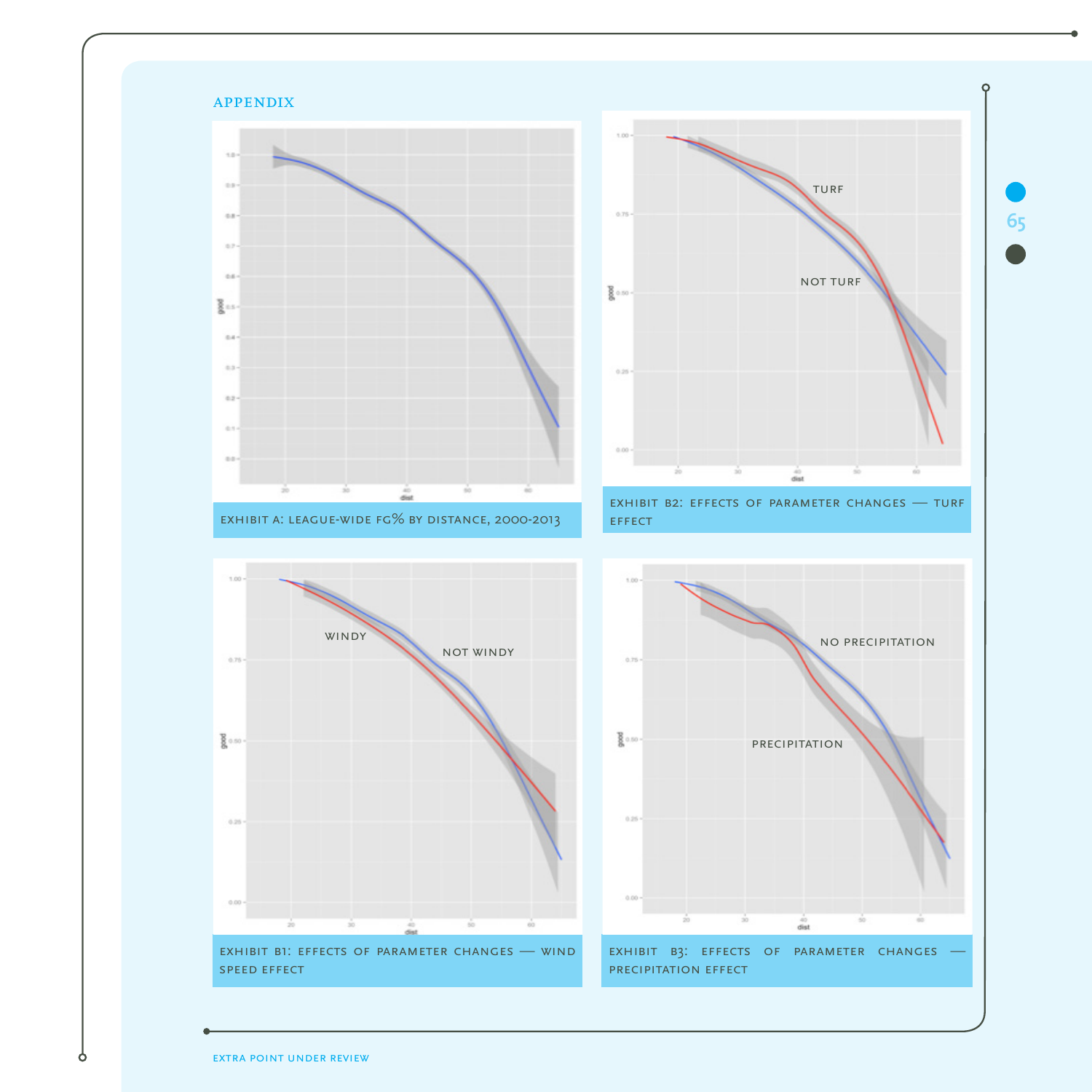

#### extra point under review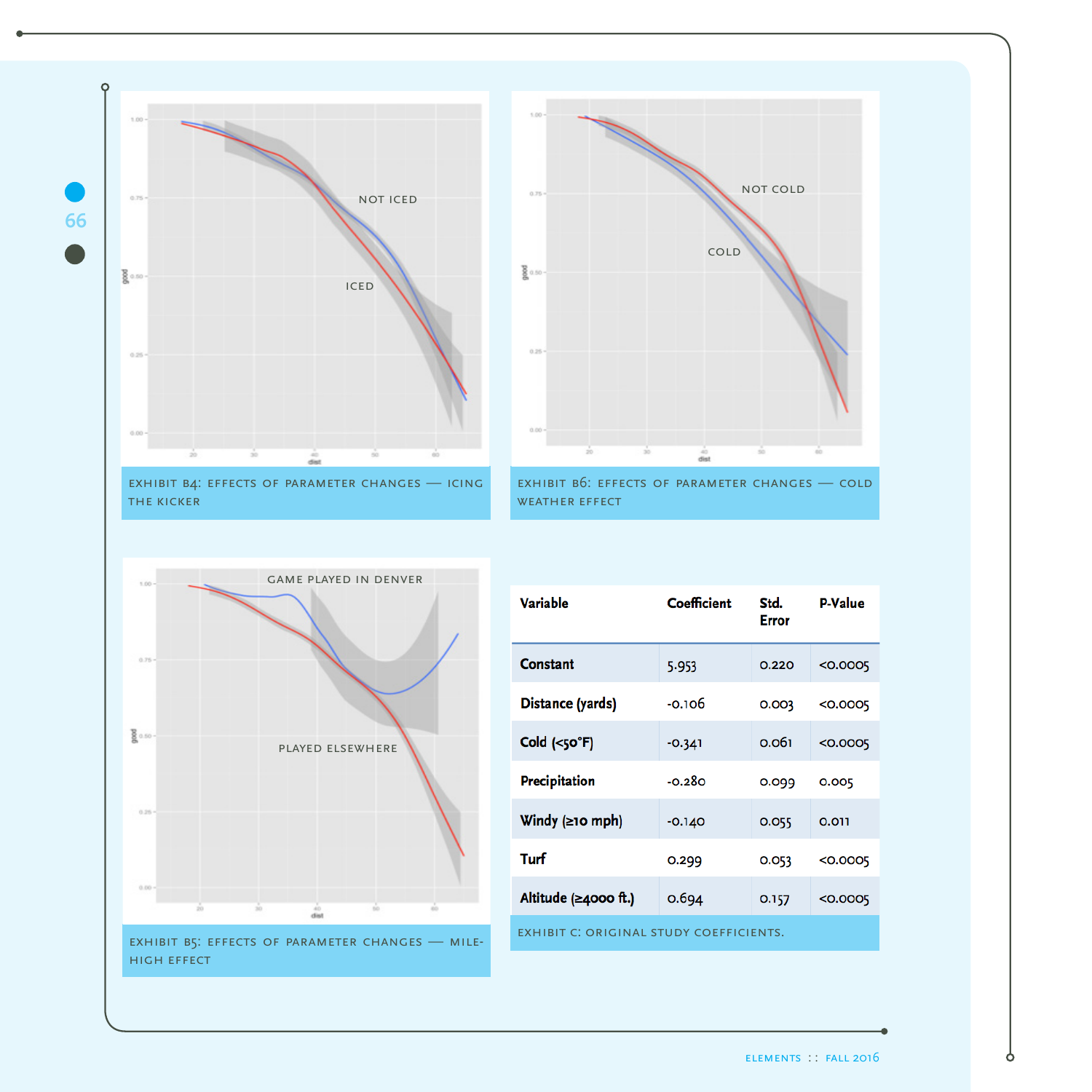

**66**



the Kicker



| Variable                                | Coefficient | Std.<br>Error | <b>P-Value</b> |  |  |  |
|-----------------------------------------|-------------|---------------|----------------|--|--|--|
| Constant                                | 5.953       | 0.220         | <0.0005        |  |  |  |
| Distance (yards)                        | $-0.106$    | 0.003         | < 0.0005       |  |  |  |
| Cold $(50°F)$                           | $-0.341$    | 0.061         | <0.0005        |  |  |  |
| Precipitation                           | -0.280      | 0.099         | 0.005          |  |  |  |
| Windy $(≥10$ mph)                       | $-0.140$    | 0.055         | 0.011          |  |  |  |
| Turf                                    | 0.299       | 0.053         | <0.0005        |  |  |  |
| Altitude (≥4000 ft.)                    | 0.694       | 0.157         | <0.0005        |  |  |  |
| EXHIBIT C: ORIGINAL STUDY COEFFICIENTS. |             |               |                |  |  |  |

ELEMENTS :: FALL 2016